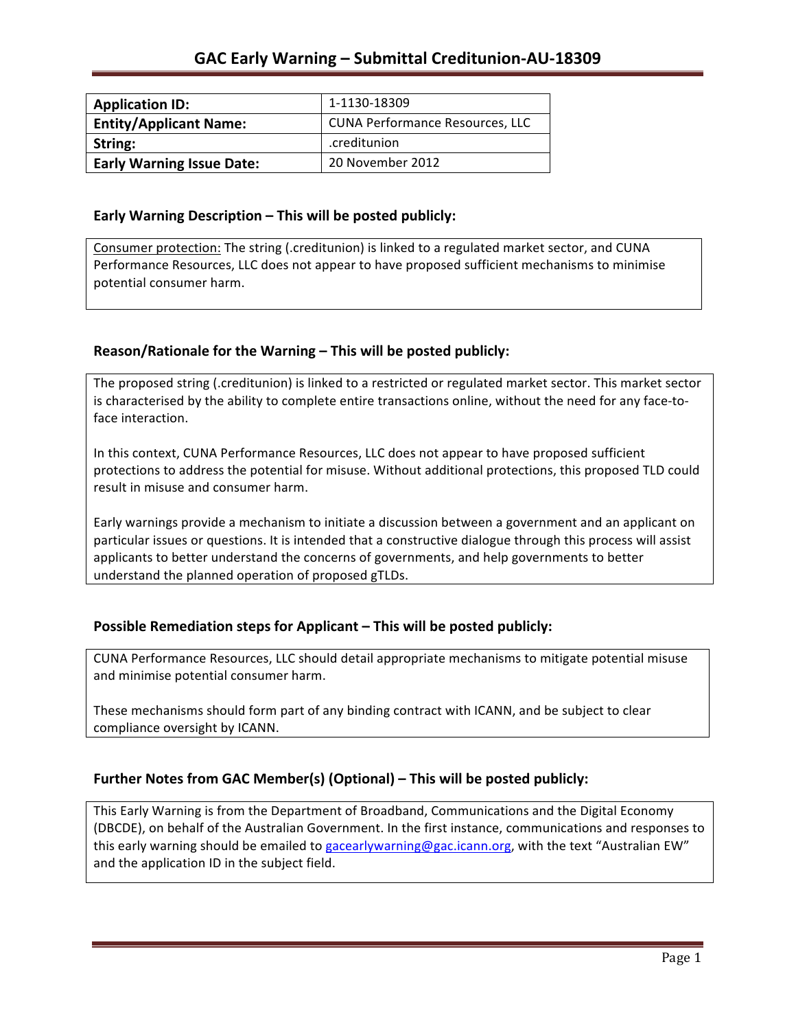| <b>Application ID:</b>           | 1-1130-18309                           |
|----------------------------------|----------------------------------------|
| <b>Entity/Applicant Name:</b>    | <b>CUNA Performance Resources, LLC</b> |
| String:                          | .creditunion                           |
| <b>Early Warning Issue Date:</b> | 20 November 2012                       |

### **Early Warning Description – This will be posted publicly:**

Consumer protection: The string (.creditunion) is linked to a regulated market sector, and CUNA Performance Resources, LLC does not appear to have proposed sufficient mechanisms to minimise potential consumer harm.

## Reason/Rationale for the Warning - This will be posted publicly:

The proposed string (.creditunion) is linked to a restricted or regulated market sector. This market sector is characterised by the ability to complete entire transactions online, without the need for any face-toface interaction.

In this context, CUNA Performance Resources, LLC does not appear to have proposed sufficient protections to address the potential for misuse. Without additional protections, this proposed TLD could result in misuse and consumer harm.

Early warnings provide a mechanism to initiate a discussion between a government and an applicant on particular issues or questions. It is intended that a constructive dialogue through this process will assist applicants to better understand the concerns of governments, and help governments to better understand the planned operation of proposed gTLDs.

## **Possible Remediation steps for Applicant – This will be posted publicly:**

CUNA Performance Resources, LLC should detail appropriate mechanisms to mitigate potential misuse and minimise potential consumer harm.

These mechanisms should form part of any binding contract with ICANN, and be subject to clear compliance oversight by ICANN.

## Further Notes from GAC Member(s) (Optional) - This will be posted publicly:

This Early Warning is from the Department of Broadband, Communications and the Digital Economy (DBCDE), on behalf of the Australian Government. In the first instance, communications and responses to this early warning should be emailed to gacearlywarning@gac.icann.org, with the text "Australian EW" and the application ID in the subject field.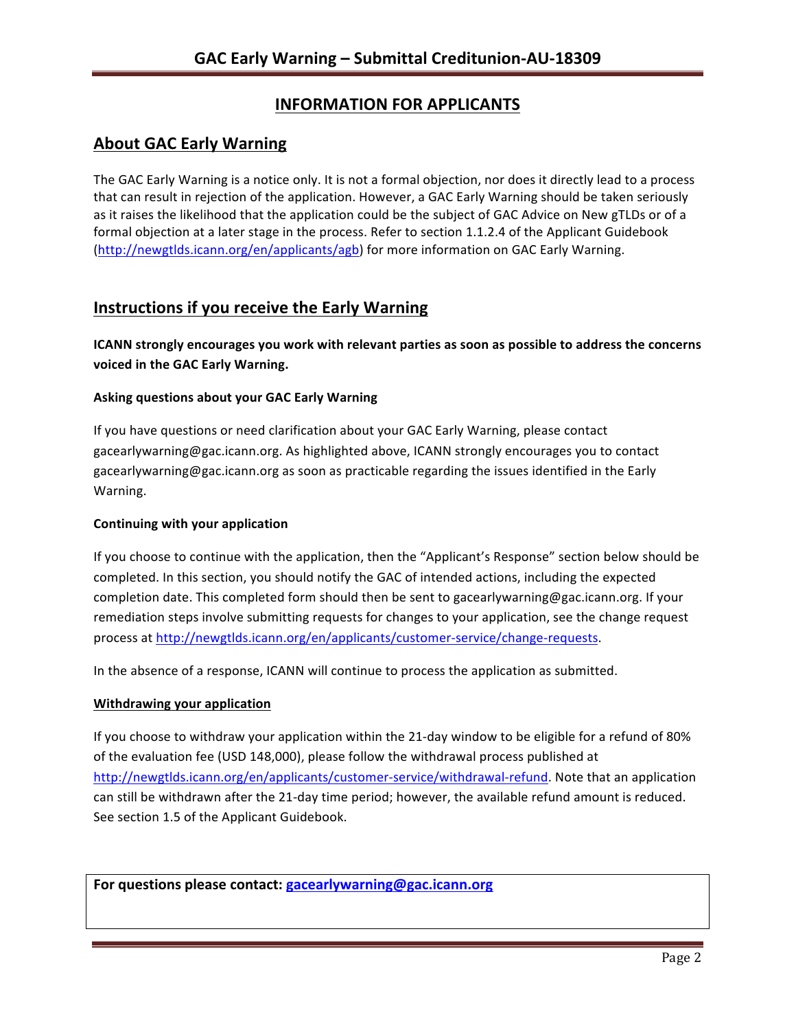# **INFORMATION FOR APPLICANTS**

## **About GAC Early Warning**

The GAC Early Warning is a notice only. It is not a formal objection, nor does it directly lead to a process that can result in rejection of the application. However, a GAC Early Warning should be taken seriously as it raises the likelihood that the application could be the subject of GAC Advice on New gTLDs or of a formal objection at a later stage in the process. Refer to section 1.1.2.4 of the Applicant Guidebook (http://newgtlds.icann.org/en/applicants/agb) for more information on GAC Early Warning.

# **Instructions if you receive the Early Warning**

**ICANN** strongly encourages you work with relevant parties as soon as possible to address the concerns **voiced in the GAC Early Warning.** 

### **Asking questions about your GAC Early Warning**

If you have questions or need clarification about your GAC Early Warning, please contact gacearlywarning@gac.icann.org. As highlighted above, ICANN strongly encourages you to contact gacearlywarning@gac.icann.org as soon as practicable regarding the issues identified in the Early Warning. 

### **Continuing with your application**

If you choose to continue with the application, then the "Applicant's Response" section below should be completed. In this section, you should notify the GAC of intended actions, including the expected completion date. This completed form should then be sent to gacearlywarning@gac.icann.org. If your remediation steps involve submitting requests for changes to your application, see the change request process at http://newgtlds.icann.org/en/applicants/customer-service/change-requests.

In the absence of a response, ICANN will continue to process the application as submitted.

### **Withdrawing your application**

If you choose to withdraw your application within the 21-day window to be eligible for a refund of 80% of the evaluation fee (USD 148,000), please follow the withdrawal process published at http://newgtlds.icann.org/en/applicants/customer-service/withdrawal-refund. Note that an application can still be withdrawn after the 21-day time period; however, the available refund amount is reduced. See section 1.5 of the Applicant Guidebook.

For questions please contact: gacearlywarning@gac.icann.org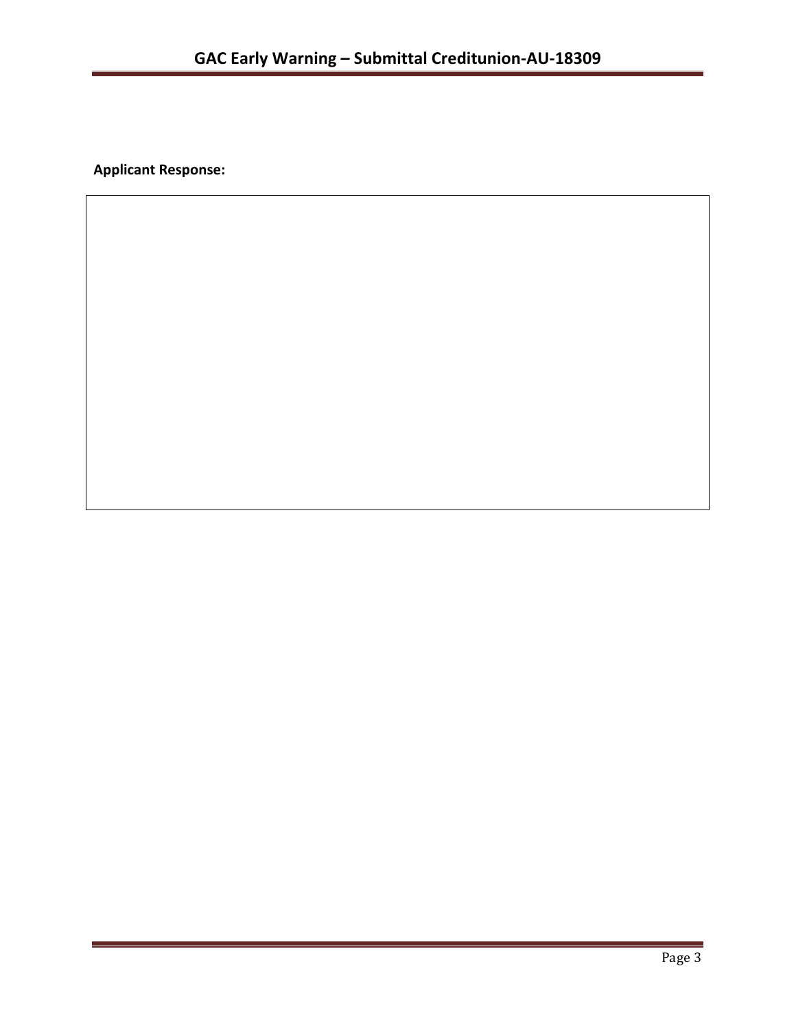**Applicant Response:**